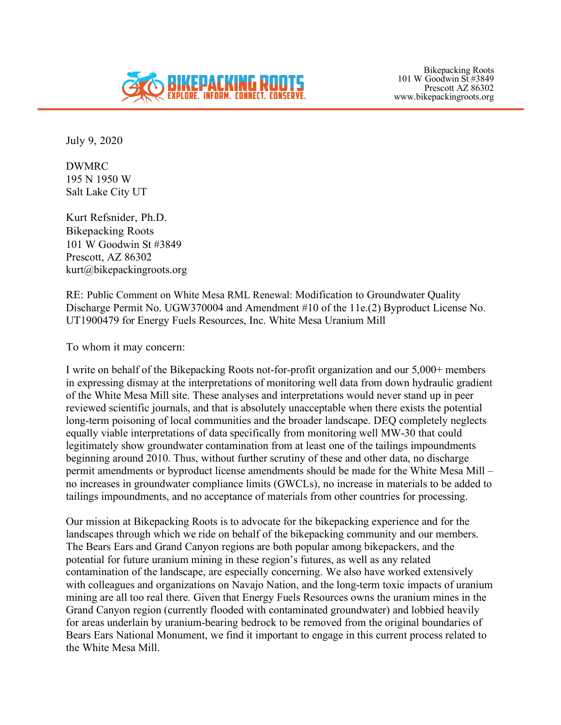

Bikepacking Roots 101 W Goodwin St #3849 Prescott AZ 86302 www.bikepackingroots.org

July 9, 2020

DWMRC 195 N 1950 W Salt Lake City UT

Kurt Refsnider, Ph.D. Bikepacking Roots 101 W Goodwin St #3849 Prescott, AZ 86302 kurt@bikepackingroots.org

RE: Public Comment on White Mesa RML Renewal: Modification to Groundwater Quality Discharge Permit No. UGW370004 and Amendment #10 of the 11e.(2) Byproduct License No. UT1900479 for Energy Fuels Resources, Inc. White Mesa Uranium Mill

To whom it may concern:

I write on behalf of the Bikepacking Roots not-for-profit organization and our 5,000+ members in expressing dismay at the interpretations of monitoring well data from down hydraulic gradient of the White Mesa Mill site. These analyses and interpretations would never stand up in peer reviewed scientific journals, and that is absolutely unacceptable when there exists the potential long-term poisoning of local communities and the broader landscape. DEQ completely neglects equally viable interpretations of data specifically from monitoring well MW-30 that could legitimately show groundwater contamination from at least one of the tailings impoundments beginning around 2010. Thus, without further scrutiny of these and other data, no discharge permit amendments or byproduct license amendments should be made for the White Mesa Mill – no increases in groundwater compliance limits (GWCLs), no increase in materials to be added to tailings impoundments, and no acceptance of materials from other countries for processing.

Our mission at Bikepacking Roots is to advocate for the bikepacking experience and for the landscapes through which we ride on behalf of the bikepacking community and our members. The Bears Ears and Grand Canyon regions are both popular among bikepackers, and the potential for future uranium mining in these region's futures, as well as any related contamination of the landscape, are especially concerning. We also have worked extensively with colleagues and organizations on Navajo Nation, and the long-term toxic impacts of uranium mining are all too real there. Given that Energy Fuels Resources owns the uranium mines in the Grand Canyon region (currently flooded with contaminated groundwater) and lobbied heavily for areas underlain by uranium-bearing bedrock to be removed from the original boundaries of Bears Ears National Monument, we find it important to engage in this current process related to the White Mesa Mill.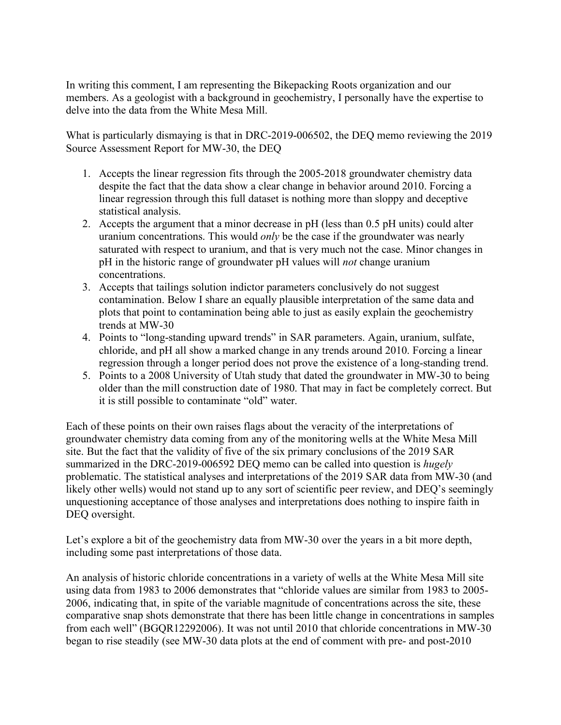In writing this comment, I am representing the Bikepacking Roots organization and our members. As a geologist with a background in geochemistry, I personally have the expertise to delve into the data from the White Mesa Mill.

What is particularly dismaying is that in DRC-2019-006502, the DEQ memo reviewing the 2019 Source Assessment Report for MW-30, the DEQ

- 1. Accepts the linear regression fits through the 2005-2018 groundwater chemistry data despite the fact that the data show a clear change in behavior around 2010. Forcing a linear regression through this full dataset is nothing more than sloppy and deceptive statistical analysis.
- 2. Accepts the argument that a minor decrease in pH (less than 0.5 pH units) could alter uranium concentrations. This would *only* be the case if the groundwater was nearly saturated with respect to uranium, and that is very much not the case. Minor changes in pH in the historic range of groundwater pH values will *not* change uranium concentrations.
- 3. Accepts that tailings solution indictor parameters conclusively do not suggest contamination. Below I share an equally plausible interpretation of the same data and plots that point to contamination being able to just as easily explain the geochemistry trends at MW-30
- 4. Points to "long-standing upward trends" in SAR parameters. Again, uranium, sulfate, chloride, and pH all show a marked change in any trends around 2010. Forcing a linear regression through a longer period does not prove the existence of a long-standing trend.
- 5. Points to a 2008 University of Utah study that dated the groundwater in MW-30 to being older than the mill construction date of 1980. That may in fact be completely correct. But it is still possible to contaminate "old" water.

Each of these points on their own raises flags about the veracity of the interpretations of groundwater chemistry data coming from any of the monitoring wells at the White Mesa Mill site. But the fact that the validity of five of the six primary conclusions of the 2019 SAR summarized in the DRC-2019-006592 DEQ memo can be called into question is *hugely* problematic. The statistical analyses and interpretations of the 2019 SAR data from MW-30 (and likely other wells) would not stand up to any sort of scientific peer review, and DEQ's seemingly unquestioning acceptance of those analyses and interpretations does nothing to inspire faith in DEQ oversight.

Let's explore a bit of the geochemistry data from MW-30 over the years in a bit more depth, including some past interpretations of those data.

An analysis of historic chloride concentrations in a variety of wells at the White Mesa Mill site using data from 1983 to 2006 demonstrates that "chloride values are similar from 1983 to 2005- 2006, indicating that, in spite of the variable magnitude of concentrations across the site, these comparative snap shots demonstrate that there has been little change in concentrations in samples from each well" (BGQR12292006). It was not until 2010 that chloride concentrations in MW-30 began to rise steadily (see MW-30 data plots at the end of comment with pre- and post-2010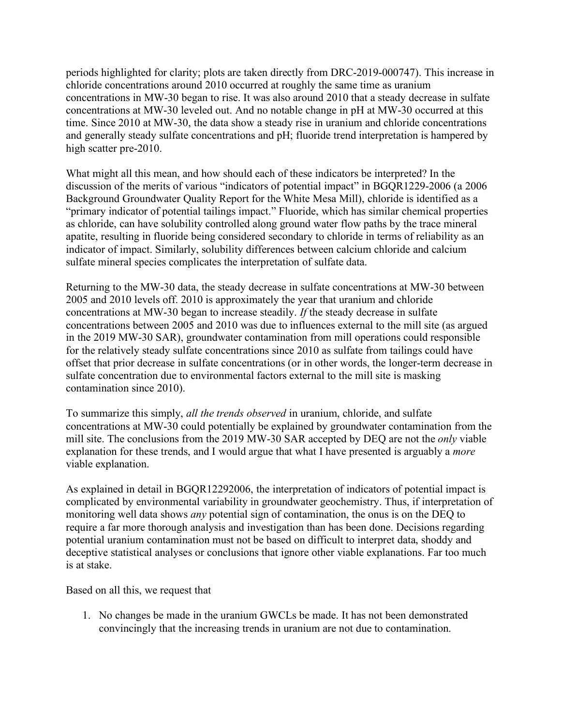periods highlighted for clarity; plots are taken directly from DRC-2019-000747). This increase in chloride concentrations around 2010 occurred at roughly the same time as uranium concentrations in MW-30 began to rise. It was also around 2010 that a steady decrease in sulfate concentrations at MW-30 leveled out. And no notable change in pH at MW-30 occurred at this time. Since 2010 at MW-30, the data show a steady rise in uranium and chloride concentrations and generally steady sulfate concentrations and pH; fluoride trend interpretation is hampered by high scatter pre-2010.

What might all this mean, and how should each of these indicators be interpreted? In the discussion of the merits of various "indicators of potential impact" in BGQR1229-2006 (a 2006 Background Groundwater Quality Report for the White Mesa Mill), chloride is identified as a "primary indicator of potential tailings impact." Fluoride, which has similar chemical properties as chloride, can have solubility controlled along ground water flow paths by the trace mineral apatite, resulting in fluoride being considered secondary to chloride in terms of reliability as an indicator of impact. Similarly, solubility differences between calcium chloride and calcium sulfate mineral species complicates the interpretation of sulfate data.

Returning to the MW-30 data, the steady decrease in sulfate concentrations at MW-30 between 2005 and 2010 levels off. 2010 is approximately the year that uranium and chloride concentrations at MW-30 began to increase steadily. *If* the steady decrease in sulfate concentrations between 2005 and 2010 was due to influences external to the mill site (as argued in the 2019 MW-30 SAR), groundwater contamination from mill operations could responsible for the relatively steady sulfate concentrations since 2010 as sulfate from tailings could have offset that prior decrease in sulfate concentrations (or in other words, the longer-term decrease in sulfate concentration due to environmental factors external to the mill site is masking contamination since 2010).

To summarize this simply, *all the trends observed* in uranium, chloride, and sulfate concentrations at MW-30 could potentially be explained by groundwater contamination from the mill site. The conclusions from the 2019 MW-30 SAR accepted by DEQ are not the *only* viable explanation for these trends, and I would argue that what I have presented is arguably a *more* viable explanation.

As explained in detail in BGQR12292006, the interpretation of indicators of potential impact is complicated by environmental variability in groundwater geochemistry. Thus, if interpretation of monitoring well data shows *any* potential sign of contamination, the onus is on the DEQ to require a far more thorough analysis and investigation than has been done. Decisions regarding potential uranium contamination must not be based on difficult to interpret data, shoddy and deceptive statistical analyses or conclusions that ignore other viable explanations. Far too much is at stake.

Based on all this, we request that

1. No changes be made in the uranium GWCLs be made. It has not been demonstrated convincingly that the increasing trends in uranium are not due to contamination.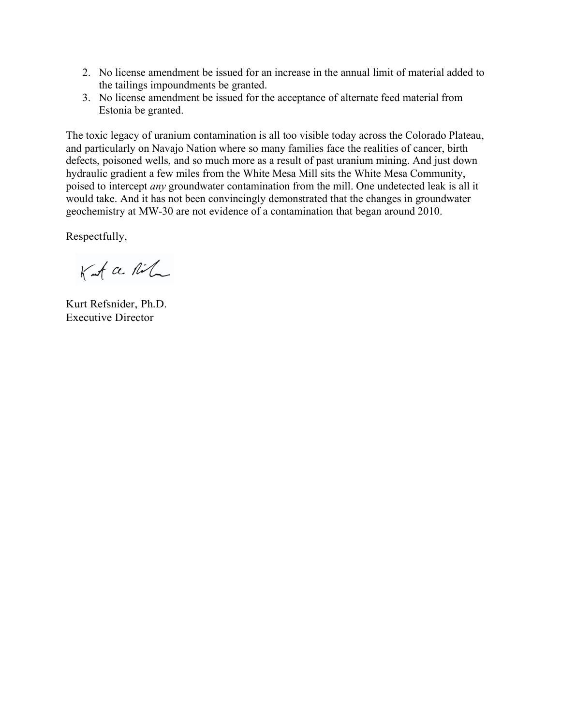- 2. No license amendment be issued for an increase in the annual limit of material added to the tailings impoundments be granted.
- 3. No license amendment be issued for the acceptance of alternate feed material from Estonia be granted.

The toxic legacy of uranium contamination is all too visible today across the Colorado Plateau, and particularly on Navajo Nation where so many families face the realities of cancer, birth defects, poisoned wells, and so much more as a result of past uranium mining. And just down hydraulic gradient a few miles from the White Mesa Mill sits the White Mesa Community, poised to intercept *any* groundwater contamination from the mill. One undetected leak is all it would take. And it has not been convincingly demonstrated that the changes in groundwater geochemistry at MW-30 are not evidence of a contamination that began around 2010.

Respectfully,

Kut a Ril

Kurt Refsnider, Ph.D. Executive Director